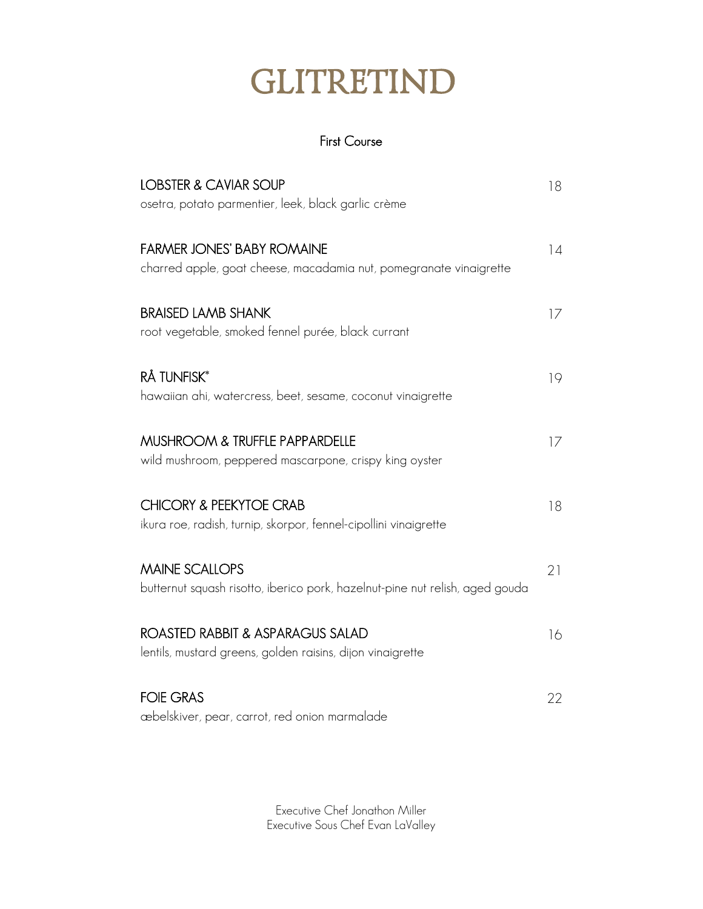## GLITRETIND

## First Course

| <b>LOBSTER &amp; CAVIAR SOUP</b><br>osetra, potato parmentier, leek, black garlic crème                 | 18 |
|---------------------------------------------------------------------------------------------------------|----|
| <b>FARMER JONES' BABY ROMAINE</b><br>charred apple, goat cheese, macadamia nut, pomegranate vinaigrette | 14 |
| <b>BRAISED LAMB SHANK</b><br>root vegetable, smoked fennel purée, black currant                         | 17 |
| <b>RÅ TUNFISK*</b><br>hawaiian ahi, watercress, beet, sesame, coconut vinaigrette                       | 19 |
| MUSHROOM & TRUFFLE PAPPARDELLE<br>wild mushroom, peppered mascarpone, crispy king oyster                | 17 |
| <b>CHICORY &amp; PEEKYTOE CRAB</b><br>ikura roe, radish, turnip, skorpor, fennel-cipollini vinaigrette  | 18 |
| <b>MAINE SCALLOPS</b><br>butternut squash risotto, iberico pork, hazelnut-pine nut relish, aged gouda   | 21 |
| ROASTED RABBIT & ASPARAGUS SALAD<br>lentils, mustard greens, golden raisins, dijon vinaigrette          | 16 |
| <b>FOIE GRAS</b><br>æbelskiver, pear, carrot, red onion marmalade                                       | 22 |

Executive Chef Jonathon Miller Executive Sous Chef Evan LaValley